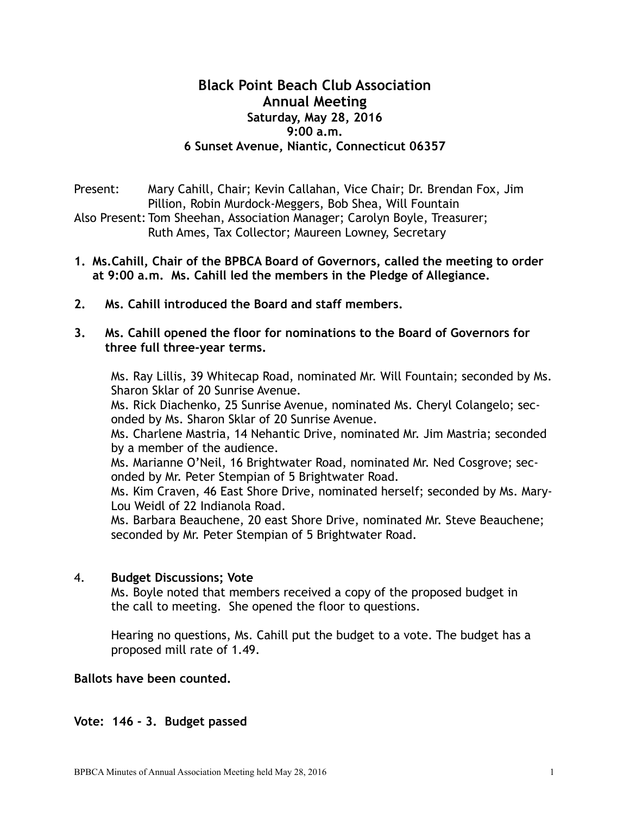## **Black Point Beach Club Association Annual Meeting Saturday, May 28, 2016 9:00 a.m. 6 Sunset Avenue, Niantic, Connecticut 06357**

Present: Mary Cahill, Chair; Kevin Callahan, Vice Chair; Dr. Brendan Fox, Jim Pillion, Robin Murdock-Meggers, Bob Shea, Will Fountain

Also Present: Tom Sheehan, Association Manager; Carolyn Boyle, Treasurer; Ruth Ames, Tax Collector; Maureen Lowney, Secretary

- **1. Ms.Cahill, Chair of the BPBCA Board of Governors, called the meeting to order at 9:00 a.m. Ms. Cahill led the members in the Pledge of Allegiance.**
- **2. Ms. Cahill introduced the Board and staff members.**
- **3. Ms. Cahill opened the floor for nominations to the Board of Governors for three full three-year terms.**

Ms. Ray Lillis, 39 Whitecap Road, nominated Mr. Will Fountain; seconded by Ms. Sharon Sklar of 20 Sunrise Avenue.

Ms. Rick Diachenko, 25 Sunrise Avenue, nominated Ms. Cheryl Colangelo; seconded by Ms. Sharon Sklar of 20 Sunrise Avenue.

Ms. Charlene Mastria, 14 Nehantic Drive, nominated Mr. Jim Mastria; seconded by a member of the audience.

Ms. Marianne O'Neil, 16 Brightwater Road, nominated Mr. Ned Cosgrove; seconded by Mr. Peter Stempian of 5 Brightwater Road.

Ms. Kim Craven, 46 East Shore Drive, nominated herself; seconded by Ms. Mary-Lou Weidl of 22 Indianola Road.

Ms. Barbara Beauchene, 20 east Shore Drive, nominated Mr. Steve Beauchene; seconded by Mr. Peter Stempian of 5 Brightwater Road.

## 4. **Budget Discussions; Vote**

Ms. Boyle noted that members received a copy of the proposed budget in the call to meeting. She opened the floor to questions.

 Hearing no questions, Ms. Cahill put the budget to a vote. The budget has a proposed mill rate of 1.49.

## **Ballots have been counted.**

## **Vote: 146 - 3. Budget passed**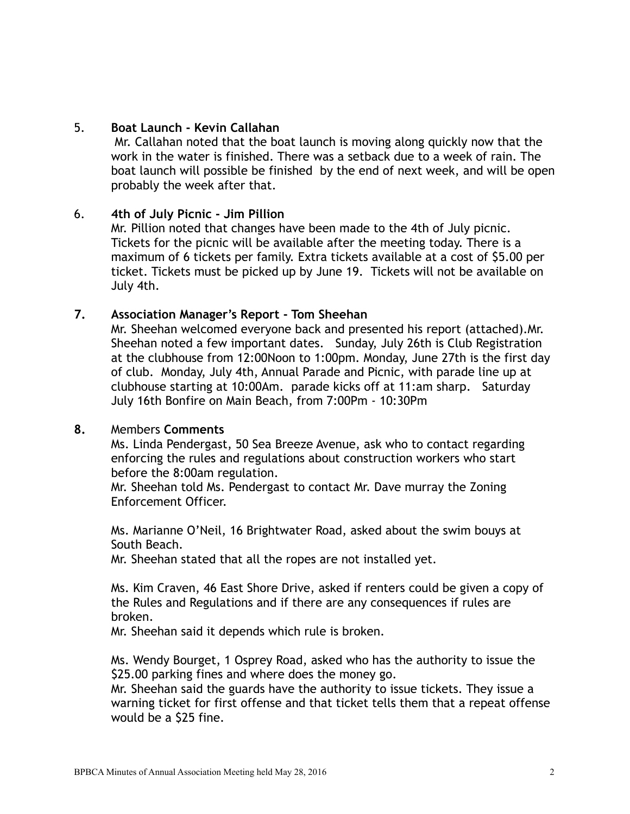## 5. **Boat Launch - Kevin Callahan**

Mr. Callahan noted that the boat launch is moving along quickly now that the work in the water is finished. There was a setback due to a week of rain. The boat launch will possible be finished by the end of next week, and will be open probably the week after that.

#### 6. **4th of July Picnic - Jim Pillion**

Mr. Pillion noted that changes have been made to the 4th of July picnic. Tickets for the picnic will be available after the meeting today. There is a maximum of 6 tickets per family. Extra tickets available at a cost of \$5.00 per ticket. Tickets must be picked up by June 19. Tickets will not be available on July 4th.

#### **7. Association Manager's Report - Tom Sheehan**

Mr. Sheehan welcomed everyone back and presented his report (attached).Mr. Sheehan noted a few important dates. Sunday, July 26th is Club Registration at the clubhouse from 12:00Noon to 1:00pm. Monday, June 27th is the first day of club. Monday, July 4th, Annual Parade and Picnic, with parade line up at clubhouse starting at 10:00Am. parade kicks off at 11:am sharp. Saturday July 16th Bonfire on Main Beach, from 7:00Pm - 10:30Pm

#### **8.** Members **Comments**

Ms. Linda Pendergast, 50 Sea Breeze Avenue, ask who to contact regarding enforcing the rules and regulations about construction workers who start before the 8:00am regulation.

 Mr. Sheehan told Ms. Pendergast to contact Mr. Dave murray the Zoning Enforcement Officer.

Ms. Marianne O'Neil, 16 Brightwater Road, asked about the swim bouys at South Beach.

Mr. Sheehan stated that all the ropes are not installed yet.

 Ms. Kim Craven, 46 East Shore Drive, asked if renters could be given a copy of the Rules and Regulations and if there are any consequences if rules are broken.

Mr. Sheehan said it depends which rule is broken.

 Ms. Wendy Bourget, 1 Osprey Road, asked who has the authority to issue the \$25.00 parking fines and where does the money go.

 Mr. Sheehan said the guards have the authority to issue tickets. They issue a warning ticket for first offense and that ticket tells them that a repeat offense would be a \$25 fine.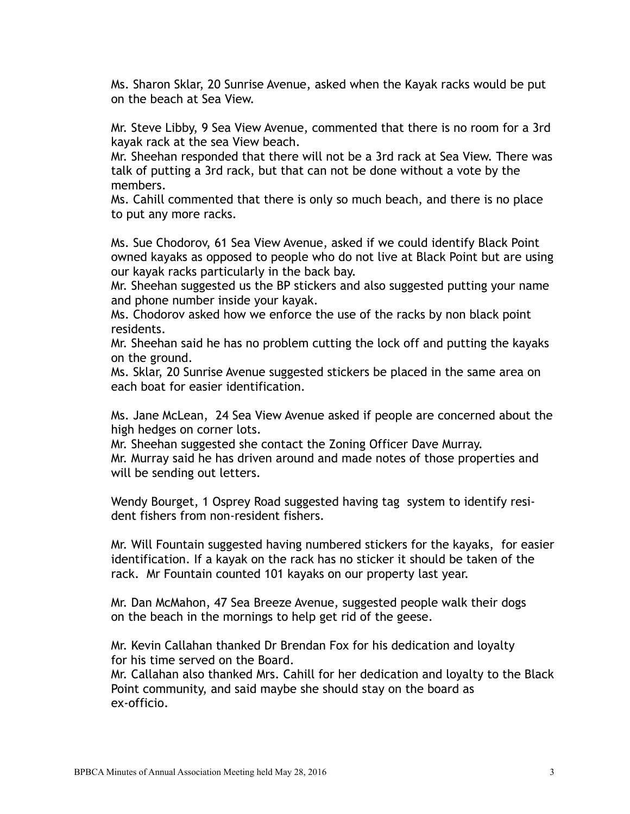Ms. Sharon Sklar, 20 Sunrise Avenue, asked when the Kayak racks would be put on the beach at Sea View.

 Mr. Steve Libby, 9 Sea View Avenue, commented that there is no room for a 3rd kayak rack at the sea View beach.

 Mr. Sheehan responded that there will not be a 3rd rack at Sea View. There was talk of putting a 3rd rack, but that can not be done without a vote by the members.

 Ms. Cahill commented that there is only so much beach, and there is no place to put any more racks.

 Ms. Sue Chodorov, 61 Sea View Avenue, asked if we could identify Black Point owned kayaks as opposed to people who do not live at Black Point but are using our kayak racks particularly in the back bay.

 Mr. Sheehan suggested us the BP stickers and also suggested putting your name and phone number inside your kayak.

 Ms. Chodorov asked how we enforce the use of the racks by non black point residents.

 Mr. Sheehan said he has no problem cutting the lock off and putting the kayaks on the ground.

 Ms. Sklar, 20 Sunrise Avenue suggested stickers be placed in the same area on each boat for easier identification.

Ms. Jane McLean, 24 Sea View Avenue asked if people are concerned about the high hedges on corner lots.

Mr. Sheehan suggested she contact the Zoning Officer Dave Murray. Mr. Murray said he has driven around and made notes of those properties and will be sending out letters.

Wendy Bourget, 1 Osprey Road suggested having tag system to identify resident fishers from non-resident fishers.

Mr. Will Fountain suggested having numbered stickers for the kayaks, for easier identification. If a kayak on the rack has no sticker it should be taken of the rack. Mr Fountain counted 101 kayaks on our property last year.

Mr. Dan McMahon, 47 Sea Breeze Avenue, suggested people walk their dogs on the beach in the mornings to help get rid of the geese.

Mr. Kevin Callahan thanked Dr Brendan Fox for his dedication and loyalty for his time served on the Board.

Mr. Callahan also thanked Mrs. Cahill for her dedication and loyalty to the Black Point community, and said maybe she should stay on the board as ex-officio.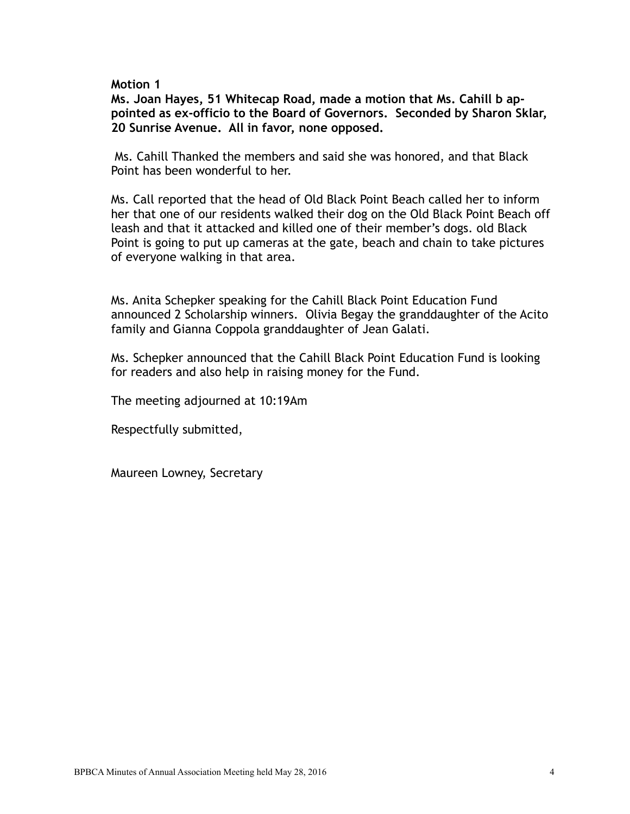#### **Motion 1**

**Ms. Joan Hayes, 51 Whitecap Road, made a motion that Ms. Cahill b appointed as ex-officio to the Board of Governors. Seconded by Sharon Sklar, 20 Sunrise Avenue. All in favor, none opposed.** 

 Ms. Cahill Thanked the members and said she was honored, and that Black Point has been wonderful to her.

Ms. Call reported that the head of Old Black Point Beach called her to inform her that one of our residents walked their dog on the Old Black Point Beach off leash and that it attacked and killed one of their member's dogs. old Black Point is going to put up cameras at the gate, beach and chain to take pictures of everyone walking in that area.

Ms. Anita Schepker speaking for the Cahill Black Point Education Fund announced 2 Scholarship winners. Olivia Begay the granddaughter of the Acito family and Gianna Coppola granddaughter of Jean Galati.

Ms. Schepker announced that the Cahill Black Point Education Fund is looking for readers and also help in raising money for the Fund.

The meeting adjourned at 10:19Am

Respectfully submitted,

Maureen Lowney, Secretary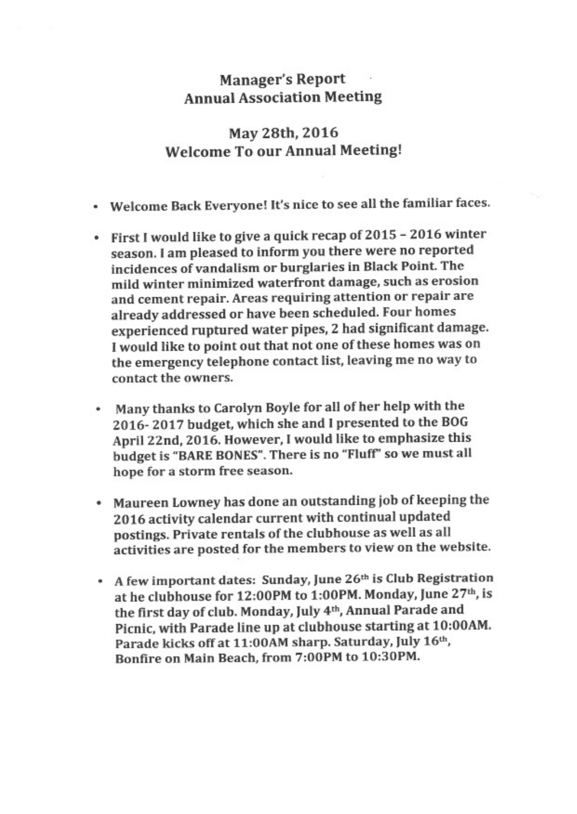## **Manager's Report Annual Association Meeting**

# May 28th, 2016 **Welcome To our Annual Meeting!**

- Welcome Back Everyone! It's nice to see all the familiar faces.
- First I would like to give a quick recap of 2015 2016 winter season. I am pleased to inform you there were no reported incidences of vandalism or burglaries in Black Point. The mild winter minimized waterfront damage, such as erosion and cement repair. Areas requiring attention or repair are already addressed or have been scheduled. Four homes experienced ruptured water pipes, 2 had significant damage. I would like to point out that not one of these homes was on the emergency telephone contact list, leaving me no way to contact the owners.
- Many thanks to Carolyn Boyle for all of her help with the ٠ 2016-2017 budget, which she and I presented to the BOG April 22nd, 2016. However, I would like to emphasize this budget is "BARE BONES". There is no "Fluff" so we must all hope for a storm free season.
- Maureen Lowney has done an outstanding job of keeping the 2016 activity calendar current with continual updated postings. Private rentals of the clubhouse as well as all activities are posted for the members to view on the website.
- A few important dates: Sunday, June 26th is Club Registration at he clubhouse for 12:00PM to 1:00PM. Monday, June 27th, is the first day of club. Monday, July 4th, Annual Parade and Picnic, with Parade line up at clubhouse starting at 10:00AM. Parade kicks off at 11:00AM sharp. Saturday, July 16th, Bonfire on Main Beach, from 7:00PM to 10:30PM.